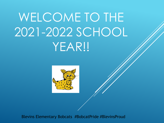# WELCOME TO THE 2021-2022 SCHOOL YEAR!!



Blevins Elementary Bobcats #BobcatPride #BlevinsProud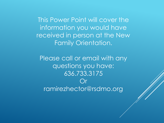This Power Point will cover the information you would have received in person at the New Family Orientation.

Please call or email with any questions you have: 636.733.3175  $()r$ ramirezhector@rsdmo.org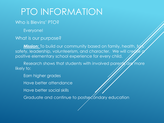## PTO INFORMATION

#### Who is Blevins' PTO?

Everyone!

#### What is our purpose?

**Mission:** To build our community based on family, health, ty safety, leadership, volunteerism, and character. We will create positive elementary school experience for every child.

Research shows that students with involved parents are more likely to:

- Earn higher grades
- Have better attendance
- Have better social skills
- Graduate and continue to postse *Condary* education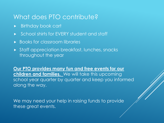### What does PTO contribute?

- Birthday book cart
- ▶ School shirts for EVERY student and staff
- ▶ Books for classroom libraries
- **Staff appreciation breakfast, lunches, snacks** throughout the year

**Our PTO provides many fun and free events for our children and families.** We will take this upcoming school year quarter by quarter and keep you informed along the way.

We may need your help in raising funds to provide these great events.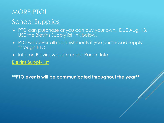## MORE PTO! School Supplies

- PTO can purchase or you can buy your own. DUE Aug. 13. USE the Blevins Supply list link below.
- PTO will cover all replenishments if you purchased supply through PTO.
- **Info. on Blevins website under Parent Info.**

**[Blevins Supply list](http://track.spe.schoolmessenger.com/f/a/nYqY9vrZs8_7dcBrKAgTMQ%7E%7E/AAAAAQA%7E/RgRikmpBP0Q4aHR0cHM6Ly9ibGV2aW5zZWxlbS5tZW1iZXJzaGlwdG9vbGtpdC5jb20vc2Nob29sc3VwcGxpZXNXB3NjaG9vbG1CCmCuwTaxYErXikNSE25lbHNvbjE5NEBnbWFpbC5jb21YBAAAAAE%7E)** 

**\*\*PTO events will be communicated throughout the year\*\***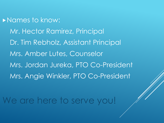**Names to know:** Mr. Hector Ramirez, Principal Dr. Tim Rebholz, Assistant Principal Mrs. Amber Lutes, Counselor Mrs. Jordan Jureka, PTO Co-President Mrs. Angie Winkler, PTO Co-President

We are here to serve you!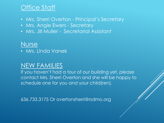## Office Staff

- Mrs. Sherri Overton Principal's Secretary
- Mrs. Angie Ewers Secretary
- Mrs. Jill Muller Secretarial Assistant

### Nurse

• Mrs. Linda Vanek

## NEW FAMILIES

If you haven't had a tour of our building yet, please contact Mrs. Sherri Overton and she will be happy to schedule one for you and your child(ren).

636.733.3175 Or overtonsherri@rsdmo.org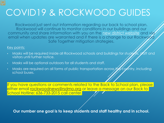## COVID19 & ROCKWOOD GUIDES

Rockwood just sent out information regarding our back to school plan. Rockwood will continue to monitor conditions in our buildings and our community and share information with you on the [new district website](https://www.rsdmo.org/) and yight email when updates are warranted and if there is a change to our Rockwood Safe Together mitigation strategies.

#### Key points:

- Masks will be required inside all Rockwood schools and buildings for students, staff and visitors until further notice.
- Masks will be optional outdoors for all students and staff.
- Masks are required on all forms of public transportation across the country, including school buses.

If you have questions or comments related to the Back to School plan, please either email <u>rockwoodnews@rsdmo.org</u> or leave a message on our Back to School Hotline: 636-733-2015 call center.

**Our number one goal is to keep students and staff healthy and in school.**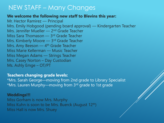## NEW STAFF – Many Changes

#### **We welcome the following new staff to Blevins this year:**

Mr. Hector Ramirez — Principal Mrs. Emily Hobgood (pending board approval) — Kindergarten Teacher Mrs. Jennifer Mueller — 2nd Grade Teacher Miss Sara Thomason — 3rd Grade Teacher Mrs. Kimberly Moore - 3<sup>rd</sup> Grade Teacher Mrs. Amy Beeson — 4<sup>th</sup> Grade Teacher Miss Marie Kellerman — Music Teacher Miss Megan Adams — Strings Teacher Mrs. Casey Norton – Day Custodian Ms. Ashly Emge – OT/PT

**Teachers changing grade levels:**

\*Mrs. Sarah George—moving from 2nd grade to Library Specialist \*Mrs. Lauren Murphy—moving from 3rd grade to 1st grade

#### **Weddings!!!**

Miss Gorham is now Mrs. Murphy Miss Kuhn is soon to be Mrs. Buerck (August 12th) Miss Hall is now Mrs. Shuey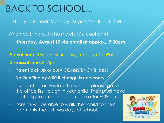## BACK TO SCHOOL...

First day of School, Monday, August 23 – IN PERSON!

When do I find out who my child's teacher is? **Thursday, August 12 via email at approx.. 7:00pm**

**Arrival time:** 8:55am - School begins/tardy at 9:09am **Dismissal time:** 3:50pm

- Parent pick up or bus? CONSISTENCY is ideal!
- **Notify office by 3:00 if change is necessary**
- If your child arrives late for school, please go to the office first to sign in your child. They plust have a late slip to enter the classroom affer 9:09am
- Parents will be able to walk their child to their room only the first two days of school.

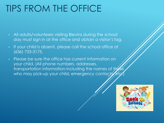## TIPS FROM THE OFFICE

- All adults/volunteers visiting Blevins during the school day must sign in at the office and obtain a visitor's tag.
- If your child is absent, please call the school office at (636) 733-3175.
- Please be sure the office has current information on your child. (All phone numbers, addresses, transportation information-including the names of those who may pick-up your child, emergency contacts etc.

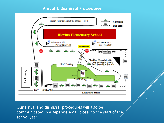#### **Arrival & Dismissal Procedures**



Our arrival and dismissal procedures will also be communicated in a separate email closer to the start of the school year.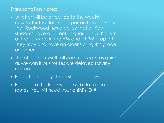#### Transportation Notes:

- A letter will be attached to the weekly newsletter that lets kindergarten families know that Rockwood has a policy that all Kdg. students have a parent or guardian with them at the bus stop in the AM and at PM drop off. They may also have an older sibling 4th grade or higher.
- **The office or myself will communicate as quick** as we can if bus routes are delayed for any reason.
- Expect bus delays the first couple days.
- Please use the Rockwood website to find bus routes. You will need your child's ID #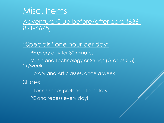## Misc. Items

### Adventure Club before/after care (636- 891-6675)

### "Specials" one hour per day:

PE every day for 30 minutes

Music and Technology or Strings (Grades 3-5), 2x/week

Library and Art classes, once a week

Shoes

Tennis shoes preferred for safety – PE and recess every day!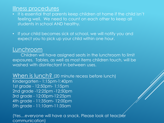### Illness procedures

- It is essential that parents keep children at home if the child isn't feeling well. We need to count on each other to keep all students in school AND healthy.
- If your child becomes sick at school, we will notify you and expect you to pick up your child within one hour.

### Lunchroom

Children will have assigned seats in the lunchroom to limit exposures. Tables, as well as most items children touch, will be washed with disinfectant in between uses.

When is lunch? (20 minute recess before lunch) Kindergarten - 1:15pm-1:40pm 1st grade - 12:50pm- 1:15pm 2nd grade -12:25pm -12:50pm 3rd grade - 12:00pm-12:25pm 4th grade - 11:35am- 12:00pm 5th grade - 11:10am-11:35am

(Yes...everyone will have a snack. Please look at teacher communication)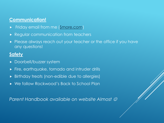### **Communication!**

- Friday email from me [\(Smore.com](https://www.smore.com/pb8rd))
- **Regular communication from teachers**
- Please always reach out your teacher or the office if you have any questions!

### **Safety**

- **Doorbell/buzzer system**
- Fire, earthquake, tornado and intruder drills
- Birthday treats (non-edible due to allergies)
- We follow Rockwood's Back to School Plan

*Parent Handbook available on website Almost*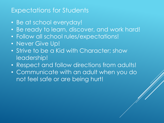### Expectations for Students

- Be at school everyday!
- Be ready to learn, discover, and work hard!
- Follow all school rules/expectations!
- Never Give Up!
- Strive to be a Kid with Character; show leadership!
- Respect and follow directions from adults!
- Communicate with an adult when you do not feel safe or are being hurt!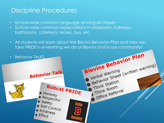## Discipline Procedures

- School-wide common language among all classes
- School-wide common expectations in classroom, hallways, bathrooms, cafeteria, recess, bus, etc.
- All students will learn about the Blevins Behavior Plan and how we take PRIDE in everything we do at Blevins and in our community!

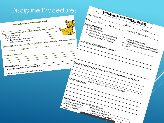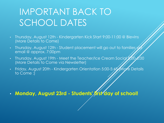## IMPORTANT BACK TO SCHOOL DATES

- Thursday, August 12th Kindergarten Kick Start 9:00-11:00 @ Blevins (More Details to Come)
- Thursday, August 12th Student placement will go out to families  $\not\!\!\!\!\!/\,\,$ email @ approx. 7:00pm
- Thursday, August 19th Meet the Teacher/Ice Cream Social 7:00 (More Details to Come via Newsletter)
- Friday, August 20th Kindergarten Orientation 5:00-5:45 (More Details to Come :)

• **Monday, August 23rd - Students' first day of school!**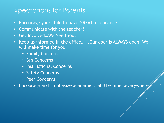### Expectations for Parents

- Encourage your child to have GREAT attendance
- Communicate with the teacher!
- Get Involved…We Need You!
- Keep us informed in the office…….Our door is ALWAYS open! We will make time for you!
	- Family Concerns
	- Bus Concerns
	- Instructional Concerns
	- Safety Concerns
	- Peer Concerns
- Encourage and Emphasize academics…all the time…everywhere